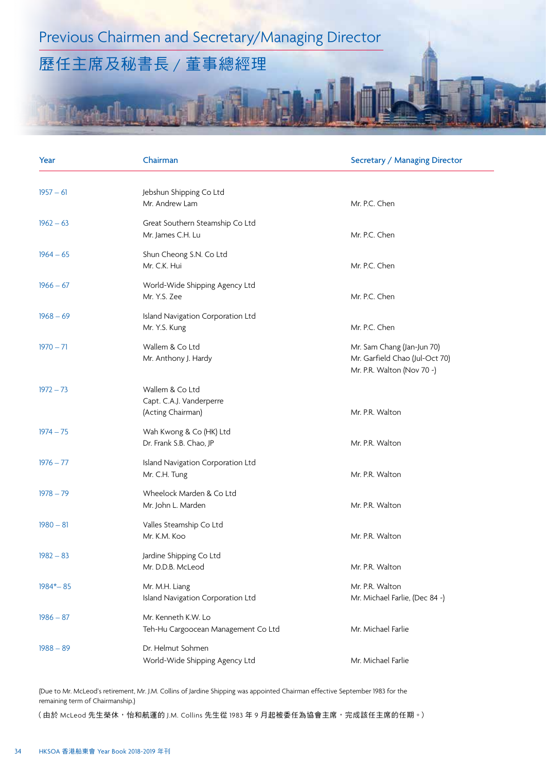## Previous Chairmen and Secretary/Managing Director

## 歷任主席及秘書長 / 董事總經理

## Year Chairman Secretary / Managing Director Chairman Secretary / Managing Director 1957 – 61 Jebshun Shipping Co Ltd Mr. Andrew Lam Mr. P.C. Chen 1962 – 63 Great Southern Steamship Co Ltd Mr. James C.H. Lu **Mr. P.C. Chen** 1964 – 65 Shun Cheong S.N. Co Ltd Mr. C.K. Hui Mr. P.C. Chen 1966 – 67 World-Wide Shipping Agency Ltd Mr. Y.S. Zee Mr. P.C. Chen 1968 – 69 Island Navigation Corporation Ltd Mr. Y.S. Kung Mr. P.C. Chen 1970 – 71 Wallem & Co Ltd Mr. Sam Chang (Jan-Jun 70) Mr. Anthony J. Hardy Mr. Garfield Chao (Jul-Oct 70) Mr. P.R. Walton (Nov 70 ~) 1972 – 73 Wallem & Co Ltd Capt. C.A.J. Vanderperre (Acting Chairman) and a state of the Mr. P.R. Walton 1974 – 75 Wah Kwong & Co (HK) Ltd Dr. Frank S.B. Chao, JP Mr. P.R. Walton 1976 – 77 Island Navigation Corporation Ltd Mr. C.H. Tung Mr. P.R. Walton 1978 – 79 Wheelock Marden & Co Ltd Mr. John L. Marden Mr. P.R. Walton 1980 – 81 Valles Steamship Co Ltd Mr. K.M. Koo Mr. P.R. Walton 1982 – 83 Jardine Shipping Co Ltd Mr. D.D.B. McLeod Mr. P.R. Walton 1984\*– 85 Mr. M.M. Liang M. M. H. Liang M. P.R. Walton Island Navigation Corporation Ltd Mr. Michael Farlie, (Dec 84 ~) 1986 – 87 Mr. Kenneth K.W. Lo Teh-Hu Cargoocean Management Co Ltd Mr. Michael Farlie 1988 – 89 Dr. Helmut Sohmen World-Wide Shipping Agency Ltd Mr. Michael Farlie

(Due to Mr. McLeod's retirement, Mr. J.M. Collins of Jardine Shipping was appointed Chairman effective September 1983 for the remaining term of Chairmanship.)

(由於 McLeod 先生榮休,怡和航運的 J.M. Collins 先生從 1983 年 9 月起被委任為協會主席,完成該任主席的任期。)